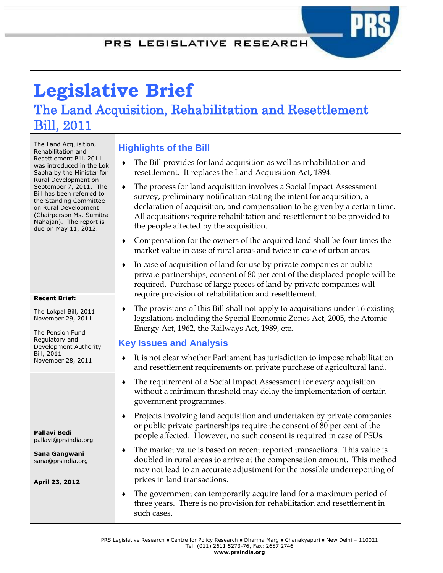# **Legislative Brief**  The Land Acquisition, Rehabilitation and Resettlement Bill, 2011

The Land Acquisition, Rehabilitation and Resettlement Bill, 2011 was introduced in the Lok Sabha by the Minister for Rural Development on September 7, 2011. The Bill has been referred to the Standing Committee on Rural Development (Chairperson Ms. Sumitra Mahajan). The report is due on May 11, 2012.

#### **Recent Brief:**

The Lokpal Bill, 2011 November 29, 2011

The Pension Fund Regulatory and Development Authority Bill, 2011 November 28, 2011

**Pallavi Bedi** pallavi@prsindia.org

**Sana Gangwani** sana@prsindia.org

**April 23, 2012**

## **Highlights of the Bill**

- The Bill provides for land acquisition as well as rehabilitation and resettlement. It replaces the Land Acquisition Act, 1894.
- The process for land acquisition involves a Social Impact Assessment survey, preliminary notification stating the intent for acquisition, a declaration of acquisition, and compensation to be given by a certain time. All acquisitions require rehabilitation and resettlement to be provided to the people affected by the acquisition.
- Compensation for the owners of the acquired land shall be four times the market value in case of rural areas and twice in case of urban areas.
- In case of acquisition of land for use by private companies or public private partnerships, consent of 80 per cent of the displaced people will be required. Purchase of large pieces of land by private companies will require provision of rehabilitation and resettlement.
- The provisions of this Bill shall not apply to acquisitions under 16 existing legislations including the Special Economic Zones Act, 2005, the Atomic Energy Act, 1962, the Railways Act, 1989, etc.

## **Key Issues and Analysis**

- It is not clear whether Parliament has jurisdiction to impose rehabilitation and resettlement requirements on private purchase of agricultural land.
- The requirement of a Social Impact Assessment for every acquisition without a minimum threshold may delay the implementation of certain government programmes.
- Projects involving land acquisition and undertaken by private companies or public private partnerships require the consent of 80 per cent of the people affected. However, no such consent is required in case of PSUs.
- The market value is based on recent reported transactions. This value is doubled in rural areas to arrive at the compensation amount. This method may not lead to an accurate adjustment for the possible underreporting of prices in land transactions.
- The government can temporarily acquire land for a maximum period of three years. There is no provision for rehabilitation and resettlement in such cases.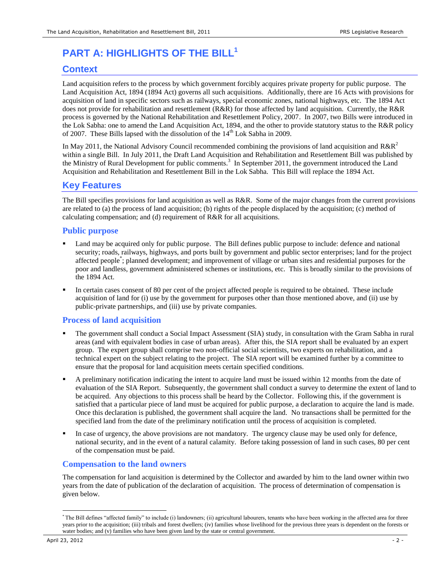## **PART A: HIGHLIGHTS OF THE BILL<sup>1</sup>**

## **Context**

Land acquisition refers to the process by which government forcibly acquires private property for public purpose. The Land Acquisition Act, 1894 (1894 Act) governs all such acquisitions. Additionally, there are 16 Acts with provisions for acquisition of land in specific sectors such as railways, special economic zones, national highways, etc. The 1894 Act does not provide for rehabilitation and resettlement (R&R) for those affected by land acquisition. Currently, the R&R process is governed by the National Rehabilitation and Resettlement Policy, 2007. In 2007, two Bills were introduced in the Lok Sabha: one to amend the Land Acquisition Act, 1894, and the other to provide statutory status to the R&R policy of 2007. These Bills lapsed with the dissolution of the  $14<sup>th</sup>$  Lok Sabha in 2009.

In May 2011, the National Advisory Council recommended combining the provisions of land acquisition and  $R\&R^2$ within a single Bill. In July 2011, the Draft Land Acquisition and Rehabilitation and Resettlement Bill was published by the Ministry of Rural Development for public comments.<sup>3</sup> In September 2011, the government introduced the Land Acquisition and Rehabilitation and Resettlement Bill in the Lok Sabha. This Bill will replace the 1894 Act.

## **Key Features**

The Bill specifies provisions for land acquisition as well as R&R. Some of the major changes from the current provisions are related to (a) the process of land acquisition; (b) rights of the people displaced by the acquisition; (c) method of calculating compensation; and (d) requirement of R&R for all acquisitions.

### **Public purpose**

- Land may be acquired only for public purpose. The Bill defines public purpose to include: defence and national security; roads, railways, highways, and ports built by government and public sector enterprises; land for the project affected people\* ; planned development; and improvement of village or urban sites and residential purposes for the poor and landless, government administered schemes or institutions, etc. This is broadly similar to the provisions of the 1894 Act.
- In certain cases consent of 80 per cent of the project affected people is required to be obtained. These include acquisition of land for (i) use by the government for purposes other than those mentioned above, and (ii) use by public-private partnerships, and (iii) use by private companies.

#### **Process of land acquisition**

- The government shall conduct a Social Impact Assessment (SIA) study, in consultation with the Gram Sabha in rural areas (and with equivalent bodies in case of urban areas). After this, the SIA report shall be evaluated by an expert group. The expert group shall comprise two non-official social scientists, two experts on rehabilitation, and a technical expert on the subject relating to the project. The SIA report will be examined further by a committee to ensure that the proposal for land acquisition meets certain specified conditions.
- A preliminary notification indicating the intent to acquire land must be issued within 12 months from the date of evaluation of the SIA Report. Subsequently, the government shall conduct a survey to determine the extent of land to be acquired. Any objections to this process shall be heard by the Collector. Following this, if the government is satisfied that a particular piece of land must be acquired for public purpose, a declaration to acquire the land is made. Once this declaration is published, the government shall acquire the land. No transactions shall be permitted for the specified land from the date of the preliminary notification until the process of acquisition is completed.
- In case of urgency, the above provisions are not mandatory. The urgency clause may be used only for defence, national security, and in the event of a natural calamity. Before taking possession of land in such cases, 80 per cent of the compensation must be paid.

## **Compensation to the land owners**

The compensation for land acquisition is determined by the Collector and awarded by him to the land owner within two years from the date of publication of the declaration of acquisition. The process of determination of compensation is given below.

 $\overline{a}$ 

<sup>\*</sup> The Bill defines "affected family" to include (i) landowners; (ii) agricultural labourers, tenants who have been working in the affected area for three years prior to the acquisition; (iii) tribals and forest dwellers; (iv) families whose livelihood for the previous three years is dependent on the forests or water bodies; and (v) families who have been given land by the state or central government.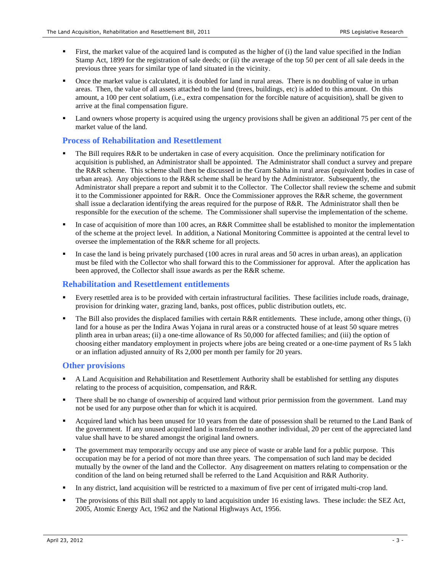- First, the market value of the acquired land is computed as the higher of (i) the land value specified in the Indian Stamp Act, 1899 for the registration of sale deeds; or (ii) the average of the top 50 per cent of all sale deeds in the previous three years for similar type of land situated in the vicinity.
- Once the market value is calculated, it is doubled for land in rural areas. There is no doubling of value in urban areas. Then, the value of all assets attached to the land (trees, buildings, etc) is added to this amount. On this amount, a 100 per cent solatium, (i.e., extra compensation for the forcible nature of acquisition), shall be given to arrive at the final compensation figure.
- Land owners whose property is acquired using the urgency provisions shall be given an additional 75 per cent of the market value of the land.

#### **Process of Rehabilitation and Resettlement**

- The Bill requires R&R to be undertaken in case of every acquisition. Once the preliminary notification for acquisition is published, an Administrator shall be appointed. The Administrator shall conduct a survey and prepare the R&R scheme. This scheme shall then be discussed in the Gram Sabha in rural areas (equivalent bodies in case of urban areas). Any objections to the R&R scheme shall be heard by the Administrator. Subsequently, the Administrator shall prepare a report and submit it to the Collector. The Collector shall review the scheme and submit it to the Commissioner appointed for R&R. Once the Commissioner approves the R&R scheme, the government shall issue a declaration identifying the areas required for the purpose of R&R. The Administrator shall then be responsible for the execution of the scheme. The Commissioner shall supervise the implementation of the scheme.
- In case of acquisition of more than 100 acres, an R&R Committee shall be established to monitor the implementation of the scheme at the project level. In addition, a National Monitoring Committee is appointed at the central level to oversee the implementation of the R&R scheme for all projects.
- In case the land is being privately purchased (100 acres in rural areas and 50 acres in urban areas), an application must be filed with the Collector who shall forward this to the Commissioner for approval. After the application has been approved, the Collector shall issue awards as per the R&R scheme.

#### **Rehabilitation and Resettlement entitlements**

- Every resettled area is to be provided with certain infrastructural facilities. These facilities include roads, drainage, provision for drinking water, grazing land, banks, post offices, public distribution outlets, etc.
- The Bill also provides the displaced families with certain R&R entitlements. These include, among other things, (i) land for a house as per the Indira Awas Yojana in rural areas or a constructed house of at least 50 square metres plinth area in urban areas; (ii) a one-time allowance of Rs 50,000 for affected families; and (iii) the option of choosing either mandatory employment in projects where jobs are being created or a one-time payment of Rs 5 lakh or an inflation adjusted annuity of Rs 2,000 per month per family for 20 years.

#### **Other provisions**

- A Land Acquisition and Rehabilitation and Resettlement Authority shall be established for settling any disputes relating to the process of acquisition, compensation, and R&R.
- There shall be no change of ownership of acquired land without prior permission from the government. Land may not be used for any purpose other than for which it is acquired.
- Acquired land which has been unused for 10 years from the date of possession shall be returned to the Land Bank of the government. If any unused acquired land is transferred to another individual, 20 per cent of the appreciated land value shall have to be shared amongst the original land owners.
- The government may temporarily occupy and use any piece of waste or arable land for a public purpose. This occupation may be for a period of not more than three years. The compensation of such land may be decided mutually by the owner of the land and the Collector. Any disagreement on matters relating to compensation or the condition of the land on being returned shall be referred to the Land Acquisition and R&R Authority.
- In any district, land acquisition will be restricted to a maximum of five per cent of irrigated multi-crop land.
- The provisions of this Bill shall not apply to land acquisition under 16 existing laws. These include: the SEZ Act, 2005, Atomic Energy Act, 1962 and the National Highways Act, 1956.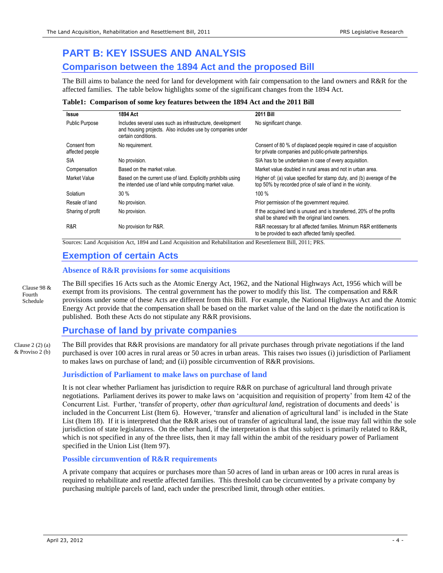## **PART B: KEY ISSUES AND ANALYSIS Comparison between the 1894 Act and the proposed Bill**

The Bill aims to balance the need for land for development with fair compensation to the land owners and R&R for the affected families. The table below highlights some of the significant changes from the 1894 Act.

#### **Table1: Comparison of some key features between the 1894 Act and the 2011 Bill**

| <b>Issue</b>                    | 1894 Act                                                                                                                                      | <b>2011 Bill</b>                                                                                                                    |  |  |
|---------------------------------|-----------------------------------------------------------------------------------------------------------------------------------------------|-------------------------------------------------------------------------------------------------------------------------------------|--|--|
| <b>Public Purpose</b>           | Includes several uses such as infrastructure, development<br>and housing projects. Also includes use by companies under<br>certain conditions | No significant change.                                                                                                              |  |  |
| Consent from<br>affected people | No requirement.                                                                                                                               | Consent of 80 % of displaced people required in case of acquisition<br>for private companies and public-private partnerships.       |  |  |
| <b>SIA</b>                      | No provision.                                                                                                                                 | SIA has to be undertaken in case of every acquisition.                                                                              |  |  |
| Compensation                    | Based on the market value.                                                                                                                    | Market value doubled in rural areas and not in urban area.                                                                          |  |  |
| Market Value                    | Based on the current use of land. Explicitly prohibits using<br>the intended use of land while computing market value.                        | Higher of: (a) value specified for stamp duty, and (b) average of the<br>top 50% by recorded price of sale of land in the vicinity. |  |  |
| Solatium                        | 30%                                                                                                                                           | 100 %                                                                                                                               |  |  |
| Resale of land                  | No provision.                                                                                                                                 | Prior permission of the government required.                                                                                        |  |  |
| Sharing of profit               | No provision.                                                                                                                                 | If the acquired land is unused and is transferred, 20% of the profits<br>shall be shared with the original land owners.             |  |  |
| R&R                             | No provision for R&R.                                                                                                                         | R&R necessary for all affected families. Minimum R&R entitlements<br>to be provided to each affected family specified.              |  |  |

Sources: Land Acquisition Act, 1894 and Land Acquisition and Rehabilitation and Resettlement Bill, 2011; PRS.

## **Exemption of certain Acts**

#### **Absence of R&R provisions for some acquisitions**

The Bill specifies 16 Acts such as the Atomic Energy Act, 1962, and the National Highways Act, 1956 which will be exempt from its provisions. The central government has the power to modify this list. The compensation and R&R provisions under some of these Acts are different from this Bill. For example, the National Highways Act and the Atomic Energy Act provide that the compensation shall be based on the market value of the land on the date the notification is published. Both these Acts do not stipulate any R&R provisions. Clause 98 & Fourth Schedule

## **Purchase of land by private companies**

The Bill provides that R&R provisions are mandatory for all private purchases through private negotiations if the land purchased is over 100 acres in rural areas or 50 acres in urban areas. This raises two issues (i) jurisdiction of Parliament to makes laws on purchase of land; and (ii) possible circumvention of R&R provisions. Clause 2 (2) (a) & Proviso 2 (b)

#### **Jurisdiction of Parliament to make laws on purchase of land**

It is not clear whether Parliament has jurisdiction to require R&R on purchase of agricultural land through private negotiations. Parliament derives its power to make laws on "acquisition and requisition of property" from Item 42 of the Concurrent List. Further, "transfer of property, *other than agricultural land*, registration of documents and deeds" is included in the Concurrent List (Item 6). However, "transfer and alienation of agricultural land" is included in the State List (Item 18). If it is interpreted that the R&R arises out of transfer of agricultural land, the issue may fall within the sole jurisdiction of state legislatures. On the other hand, if the interpretation is that this subject is primarily related to R&R, which is not specified in any of the three lists, then it may fall within the ambit of the residuary power of Parliament specified in the Union List (Item 97).

#### **Possible circumvention of R&R requirements**

A private company that acquires or purchases more than 50 acres of land in urban areas or 100 acres in rural areas is required to rehabilitate and resettle affected families. This threshold can be circumvented by a private company by purchasing multiple parcels of land, each under the prescribed limit, through other entities.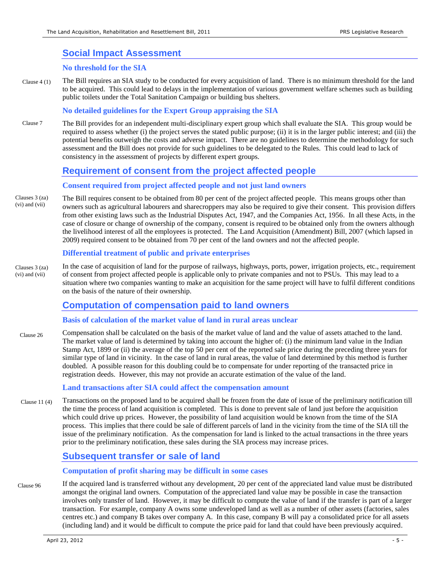## **Social Impact Assessment**

#### **No threshold for the SIA**

The Bill requires an SIA study to be conducted for every acquisition of land. There is no minimum threshold for the land to be acquired. This could lead to delays in the implementation of various government welfare schemes such as building public toilets under the Total Sanitation Campaign or building bus shelters. Clause 4 (1)

#### **No detailed guidelines for the Expert Group appraising the SIA**

The Bill provides for an independent multi-disciplinary expert group which shall evaluate the SIA. This group would be required to assess whether (i) the project serves the stated public purpose; (ii) it is in the larger public interest; and (iii) the potential benefits outweigh the costs and adverse impact. There are no guidelines to determine the methodology for such assessment and the Bill does not provide for such guidelines to be delegated to the Rules. This could lead to lack of consistency in the assessment of projects by different expert groups. Clause 7

### **Requirement of consent from the project affected people**

#### **Consent required from project affected people and not just land owners**

The Bill requires consent to be obtained from 80 per cent of the project affected people. This means groups other than owners such as agricultural labourers and sharecroppers may also be required to give their consent. This provision differs from other existing laws such as the Industrial Disputes Act, 1947, and the Companies Act, 1956. In all these Acts, in the case of closure or change of ownership of the company, consent is required to be obtained only from the owners although the livelihood interest of all the employees is protected. The Land Acquisition (Amendment) Bill, 2007 (which lapsed in 2009) required consent to be obtained from 70 per cent of the land owners and not the affected people. Clauses 3 (za) (vi) and (vii)

#### **Differential treatment of public and private enterprises**

In the case of acquisition of land for the purpose of railways, highways, ports, power, irrigation projects, etc., requirement of consent from project affected people is applicable only to private companies and not to PSUs. This may lead to a situation where two companies wanting to make an acquisition for the same project will have to fulfil different conditions on the basis of the nature of their ownership. Clauses 3 (za) (vi) and (vii)

## **Computation of compensation paid to land owners**

#### **Basis of calculation of the market value of land in rural areas unclear**

Compensation shall be calculated on the basis of the market value of land and the value of assets attached to the land. The market value of land is determined by taking into account the higher of: (i) the minimum land value in the Indian Stamp Act, 1899 or (ii) the average of the top 50 per cent of the reported sale price during the preceding three years for similar type of land in vicinity. In the case of land in rural areas, the value of land determined by this method is further doubled. A possible reason for this doubling could be to compensate for under reporting of the transacted price in registration deeds. However, this may not provide an accurate estimation of the value of the land. Clause 26

#### **Land transactions after SIA could affect the compensation amount**

Transactions on the proposed land to be acquired shall be frozen from the date of issue of the preliminary notification till the time the process of land acquisition is completed. This is done to prevent sale of land just before the acquisition which could drive up prices. However, the possibility of land acquisition would be known from the time of the SIA process. This implies that there could be sale of different parcels of land in the vicinity from the time of the SIA till the issue of the preliminary notification. As the compensation for land is linked to the actual transactions in the three years prior to the preliminary notification, these sales during the SIA process may increase prices. Clause 11 (4)

## **Subsequent transfer or sale of land**

#### **Computation of profit sharing may be difficult in some cases**

If the acquired land is transferred without any development, 20 per cent of the appreciated land value must be distributed amongst the original land owners. Computation of the appreciated land value may be possible in case the transaction involves only transfer of land. However, it may be difficult to compute the value of land if the transfer is part of a larger transaction. For example, company A owns some undeveloped land as well as a number of other assets (factories, sales centres etc.) and company B takes over company A. In this case, company B will pay a consolidated price for all assets (including land) and it would be difficult to compute the price paid for land that could have been previously acquired. Clause 96